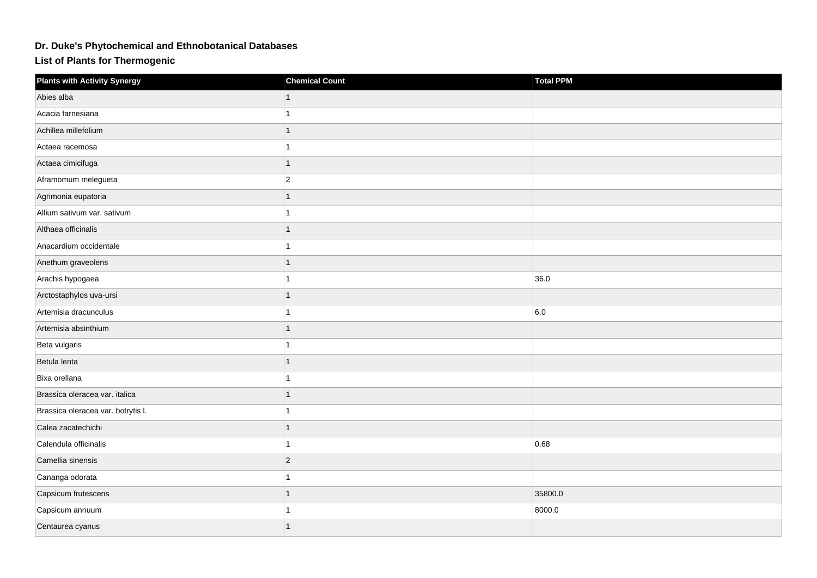## **Dr. Duke's Phytochemical and Ethnobotanical Databases**

**List of Plants for Thermogenic**

| <b>Plants with Activity Synergy</b> | <b>Chemical Count</b> | <b>Total PPM</b> |
|-------------------------------------|-----------------------|------------------|
| Abies alba                          |                       |                  |
| Acacia farnesiana                   |                       |                  |
| Achillea millefolium                |                       |                  |
| Actaea racemosa                     |                       |                  |
| Actaea cimicifuga                   |                       |                  |
| Aframomum melegueta                 | $\overline{2}$        |                  |
| Agrimonia eupatoria                 |                       |                  |
| Allium sativum var. sativum         |                       |                  |
| Althaea officinalis                 |                       |                  |
| Anacardium occidentale              |                       |                  |
| Anethum graveolens                  |                       |                  |
| Arachis hypogaea                    |                       | 36.0             |
| Arctostaphylos uva-ursi             |                       |                  |
| Artemisia dracunculus               |                       | 6.0              |
| Artemisia absinthium                |                       |                  |
| Beta vulgaris                       |                       |                  |
| Betula lenta                        |                       |                  |
| Bixa orellana                       |                       |                  |
| Brassica oleracea var. italica      |                       |                  |
| Brassica oleracea var. botrytis I.  |                       |                  |
| Calea zacatechichi                  |                       |                  |
| Calendula officinalis               |                       | 0.68             |
| Camellia sinensis                   | $ 2\rangle$           |                  |
| Cananga odorata                     |                       |                  |
| Capsicum frutescens                 |                       | 35800.0          |
| Capsicum annuum                     |                       | 8000.0           |
| Centaurea cyanus                    |                       |                  |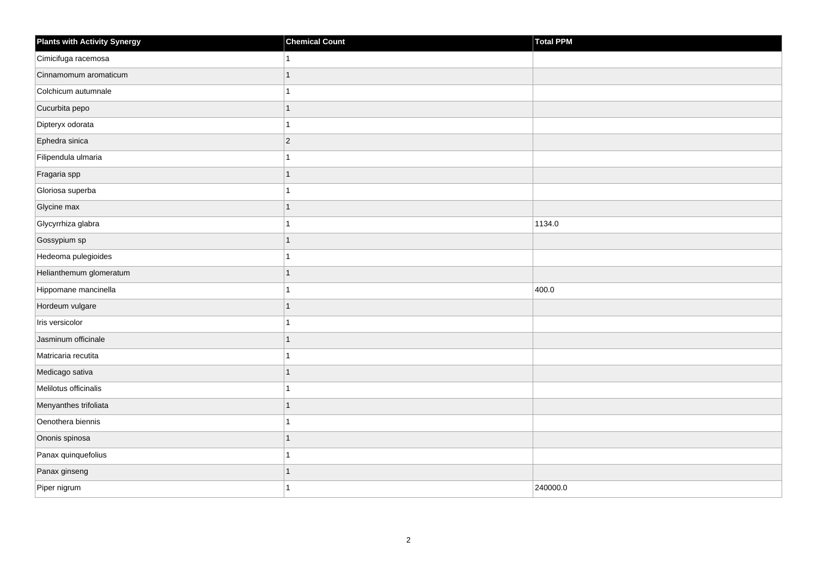| Plants with Activity Synergy | <b>Chemical Count</b> | Total PPM |
|------------------------------|-----------------------|-----------|
| Cimicifuga racemosa          | 1                     |           |
| Cinnamomum aromaticum        | 1                     |           |
| Colchicum autumnale          | 1                     |           |
| Cucurbita pepo               | $\mathbf{1}$          |           |
| Dipteryx odorata             | 1                     |           |
| Ephedra sinica               | $ 2\rangle$           |           |
| Filipendula ulmaria          | 1                     |           |
| Fragaria spp                 | $\mathbf{1}$          |           |
| Gloriosa superba             | $\mathbf{1}$          |           |
| Glycine max                  | $\mathbf{1}$          |           |
| Glycyrrhiza glabra           | $\mathbf{1}$          | 1134.0    |
| Gossypium sp                 | $\mathbf{1}$          |           |
| Hedeoma pulegioides          | $\mathbf{1}$          |           |
| Helianthemum glomeratum      | $\mathbf{1}$          |           |
| Hippomane mancinella         | 1                     | 400.0     |
| Hordeum vulgare              | $\mathbf{1}$          |           |
| Iris versicolor              | 1                     |           |
| Jasminum officinale          | $\mathbf{1}$          |           |
| Matricaria recutita          | $\overline{1}$        |           |
| Medicago sativa              | 1                     |           |
| Melilotus officinalis        | 1                     |           |
| Menyanthes trifoliata        | 1                     |           |
| Oenothera biennis            | 1                     |           |
| Ononis spinosa               | 1                     |           |
| Panax quinquefolius          | $\mathbf{1}$          |           |
| Panax ginseng                | 1                     |           |
| Piper nigrum                 | 1                     | 240000.0  |